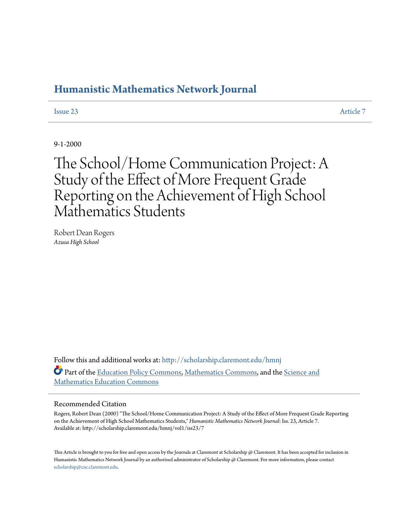### **[Humanistic Mathematics Network Journal](http://scholarship.claremont.edu/hmnj?utm_source=scholarship.claremont.edu%2Fhmnj%2Fvol1%2Fiss23%2F7&utm_medium=PDF&utm_campaign=PDFCoverPages)**

**[Issue 23](http://scholarship.claremont.edu/hmnj/vol1/iss23?utm_source=scholarship.claremont.edu%2Fhmnj%2Fvol1%2Fiss23%2F7&utm_medium=PDF&utm_campaign=PDFCoverPages)** [Article 7](http://scholarship.claremont.edu/hmnj/vol1/iss23/7?utm_source=scholarship.claremont.edu%2Fhmnj%2Fvol1%2Fiss23%2F7&utm_medium=PDF&utm_campaign=PDFCoverPages)

9-1-2000

# The School/Home Communication Project: A Study of the Effect of More Frequent Grade Reporting on the Achievement of High School Mathematics Students

Robert Dean Rogers *Azusa High School*

Follow this and additional works at: [http://scholarship.claremont.edu/hmnj](http://scholarship.claremont.edu/hmnj?utm_source=scholarship.claremont.edu%2Fhmnj%2Fvol1%2Fiss23%2F7&utm_medium=PDF&utm_campaign=PDFCoverPages) Part of the [Education Policy Commons](http://network.bepress.com/hgg/discipline/1026?utm_source=scholarship.claremont.edu%2Fhmnj%2Fvol1%2Fiss23%2F7&utm_medium=PDF&utm_campaign=PDFCoverPages), [Mathematics Commons,](http://network.bepress.com/hgg/discipline/174?utm_source=scholarship.claremont.edu%2Fhmnj%2Fvol1%2Fiss23%2F7&utm_medium=PDF&utm_campaign=PDFCoverPages) and the [Science and](http://network.bepress.com/hgg/discipline/800?utm_source=scholarship.claremont.edu%2Fhmnj%2Fvol1%2Fiss23%2F7&utm_medium=PDF&utm_campaign=PDFCoverPages) [Mathematics Education Commons](http://network.bepress.com/hgg/discipline/800?utm_source=scholarship.claremont.edu%2Fhmnj%2Fvol1%2Fiss23%2F7&utm_medium=PDF&utm_campaign=PDFCoverPages)

#### Recommended Citation

Rogers, Robert Dean (2000) "The School/Home Communication Project: A Study of the Effect of More Frequent Grade Reporting on the Achievement of High School Mathematics Students," *Humanistic Mathematics Network Journal*: Iss. 23, Article 7. Available at: http://scholarship.claremont.edu/hmnj/vol1/iss23/7

This Article is brought to you for free and open access by the Journals at Claremont at Scholarship @ Claremont. It has been accepted for inclusion in Humanistic Mathematics Network Journal by an authorized administrator of Scholarship @ Claremont. For more information, please contact [scholarship@cuc.claremont.edu.](mailto:scholarship@cuc.claremont.edu)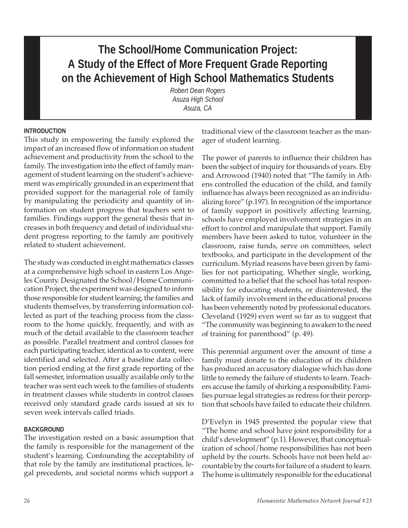## **The School/Home Communication Project: A Study of the Effect of More Frequent Grade Reporting on the Achievement of High School Mathematics Students**

*Robert Dean Rogers Asuza High School Asuza, CA*

#### **INTRODUCTION**

This study in empowering the family explored the impact of an increased flow of information on student achievement and productivity from the school to the family. The investigation into the effect of family management of student learning on the student's achievement was empirically grounded in an experiment that provided support for the managerial role of family by manipulating the periodicity and quantity of information on student progress that teachers sent to families. Findings support the general thesis that increases in both frequency and detail of individual student progress reporting to the family are positively related to student achievement.

The study was conducted in eight mathematics classes at a comprehensive high school in eastern Los Angeles County. Designated the School/Home Communication Project, the experiment was designed to inform those responsible for student learning, the families and students themselves, by transferring information collected as part of the teaching process from the classroom to the home quickly, frequently, and with as much of the detail available to the classroom teacher as possible. Parallel treatment and control classes for each participating teacher, identical as to content, were identified and selected. After a baseline data collection period ending at the first grade reporting of the fall semester, information usually available only to the teacher was sent each week to the families of students in treatment classes while students in control classes received only standard grade cards issued at six to seven week intervals called triads.

#### **BACKGROUND**

The investigation rested on a basic assumption that the family is responsible for the management of the student's learning. Confounding the acceptability of that role by the family are institutional practices, legal precedents, and societal norms which support a

traditional view of the classroom teacher as the manager of student learning.

The power of parents to influence their children has been the subject of inquiry for thousands of years. Eby and Arrowood (1940) noted that "The family in Athens controlled the education of the child, and family influence has always been recognized as an individualizing force" (p.197). In recognition of the importance of family support in positively affecting learning, schools have employed involvement strategies in an effort to control and manipulate that support. Family members have been asked to tutor, volunteer in the classroom, raise funds, serve on committees, select textbooks, and participate in the development of the curriculum. Myriad reasons have been given by families for not participating. Whether single, working, committed to a belief that the school has total responsibility for educating students, or disinterested, the lack of family involvement in the educational process has been vehemently noted by professional educators. Cleveland (1929) even went so far as to suggest that "The community was beginning to awaken to the need of training for parenthood" (p. 49).

This perennial argument over the amount of time a family must donate to the education of its children has produced an accusatory dialogue which has done little to remedy the failure of students to learn. Teachers accuse the family of shirking a responsibility. Families pursue legal strategies as redress for their perception that schools have failed to educate their children.

D'Evelyn in 1945 presented the popular view that "The home and school have joint responsibility for a child's development" (p.1). However, that conceptualization of school/home responsibilities has not been upheld by the courts. Schools have not been held accountable by the courts for failure of a student to learn. The home is ultimately responsible for the educational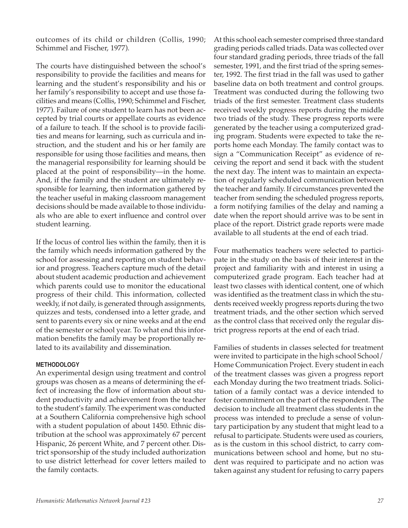outcomes of its child or children (Collis, 1990; Schimmel and Fischer, 1977).

The courts have distinguished between the school's responsibility to provide the facilities and means for learning and the student's responsibility and his or her family's responsibility to accept and use those facilities and means (Collis, 1990; Schimmel and Fischer, 1977). Failure of one student to learn has not been accepted by trial courts or appellate courts as evidence of a failure to teach. If the school is to provide facilities and means for learning, such as curricula and instruction, and the student and his or her family are responsible for using those facilities and means, then the managerial responsibility for learning should be placed at the point of responsibility—in the home. And, if the family and the student are ultimately responsible for learning, then information gathered by the teacher useful in making classroom management decisions should be made available to those individuals who are able to exert influence and control over student learning.

If the locus of control lies within the family, then it is the family which needs information gathered by the school for assessing and reporting on student behavior and progress. Teachers capture much of the detail about student academic production and achievement which parents could use to monitor the educational progress of their child. This information, collected weekly, if not daily, is generated through assignments, quizzes and tests, condensed into a letter grade, and sent to parents every six or nine weeks and at the end of the semester or school year. To what end this information benefits the family may be proportionally related to its availability and dissemination.

#### **METHODOLOGY**

An experimental design using treatment and control groups was chosen as a means of determining the effect of increasing the flow of information about student productivity and achievement from the teacher to the student's family. The experiment was conducted at a Southern California comprehensive high school with a student population of about 1450. Ethnic distribution at the school was approximately 67 percent Hispanic, 26 percent White, and 7 percent other. District sponsorship of the study included authorization to use district letterhead for cover letters mailed to the family contacts.

At this school each semester comprised three standard grading periods called triads. Data was collected over four standard grading periods, three triads of the fall semester, 1991, and the first triad of the spring semester, 1992. The first triad in the fall was used to gather baseline data on both treatment and control groups. Treatment was conducted during the following two triads of the first semester. Treatment class students received weekly progress reports during the middle two triads of the study. These progress reports were generated by the teacher using a computerized grading program. Students were expected to take the reports home each Monday. The family contact was to sign a "Communication Receipt" as evidence of receiving the report and send it back with the student the next day. The intent was to maintain an expectation of regularly scheduled communication between the teacher and family. If circumstances prevented the teacher from sending the scheduled progress reports, a form notifying families of the delay and naming a date when the report should arrive was to be sent in place of the report. District grade reports were made available to all students at the end of each triad.

Four mathematics teachers were selected to participate in the study on the basis of their interest in the project and familiarity with and interest in using a computerized grade program. Each teacher had at least two classes with identical content, one of which was identified as the treatment class in which the students received weekly progress reports during the two treatment triads, and the other section which served as the control class that received only the regular district progress reports at the end of each triad.

Families of students in classes selected for treatment were invited to participate in the high school School/ Home Communication Project. Every student in each of the treatment classes was given a progress report each Monday during the two treatment triads. Solicitation of a family contact was a device intended to foster commitment on the part of the respondent. The decision to include all treatment class students in the process was intended to preclude a sense of voluntary participation by any student that might lead to a refusal to participate. Students were used as couriers, as is the custom in this school district, to carry communications between school and home, but no student was required to participate and no action was taken against any student for refusing to carry papers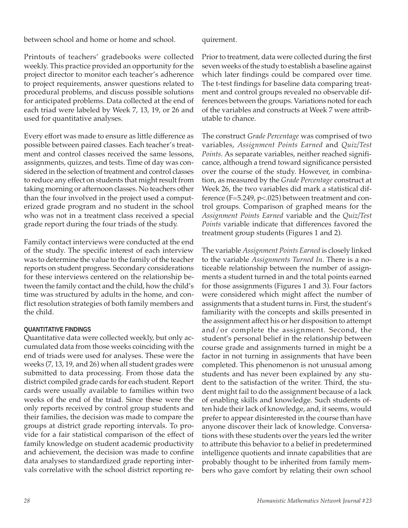between school and home or home and school.

quirement.

Printouts of teachers' gradebooks were collected weekly. This practice provided an opportunity for the project director to monitor each teacher's adherence to project requirements, answer questions related to procedural problems, and discuss possible solutions for anticipated problems. Data collected at the end of each triad were labeled by Week 7, 13, 19, or 26 and used for quantitative analyses.

Every effort was made to ensure as little difference as possible between paired classes. Each teacher's treatment and control classes received the same lessons, assignments, quizzes, and tests. Time of day was considered in the selection of treatment and control classes to reduce any effect on students that might result from taking morning or afternoon classes. No teachers other than the four involved in the project used a computerized grade program and no student in the school who was not in a treatment class received a special grade report during the four triads of the study.

Family contact interviews were conducted at the end of the study. The specific interest of each interview was to determine the value to the family of the teacher reports on student progress. Secondary considerations for these interviews centered on the relationship between the family contact and the child, how the child's time was structured by adults in the home, and conflict resolution strategies of both family members and the child.

#### **QUANTITATIVE FINDINGS**

Quantitative data were collected weekly, but only accumulated data from those weeks coinciding with the end of triads were used for analyses. These were the weeks (7, 13, 19, and 26) when all student grades were submitted to data processing. From those data the district compiled grade cards for each student. Report cards were usually available to families within two weeks of the end of the triad. Since these were the only reports received by control group students and their families, the decision was made to compare the groups at district grade reporting intervals. To provide for a fair statistical comparison of the effect of family knowledge on student academic productivity and achievement, the decision was made to confine data analyses to standardized grade reporting intervals correlative with the school district reporting rePrior to treatment, data were collected during the first seven weeks of the study to establish a baseline against which later findings could be compared over time. The t-test findings for baseline data comparing treatment and control groups revealed no observable differences between the groups. Variations noted for each of the variables and constructs at Week 7 were attributable to chance.

The construct *Grade Percentage* was comprised of two variables, *Assignment Points Earned* and *Quiz/Test Points*. As separate variables, neither reached significance, although a trend toward significance persisted over the course of the study. However, in combination, as measured by the *Grade Percentage* construct at Week 26, the two variables did mark a statistical difference (F=5.249, p<.025) between treatment and control groups. Comparison of graphed means for the *Assignment Points Earned* variable and the *Quiz/Test Points* variable indicate that differences favored the treatment group students (Figures 1 and 2).

The variable *Assignment Points Earned* is closely linked to the variable *Assignments Turned In*. There is a noticeable relationship between the number of assignments a student turned in and the total points earned for those assignments (Figures 1 and 3). Four factors were considered which might affect the number of assignments that a student turns in. First, the student's familiarity with the concepts and skills presented in the assignment affect his or her disposition to attempt and/or complete the assignment. Second, the student's personal belief in the relationship between course grade and assignments turned in might be a factor in not turning in assignments that have been completed. This phenomenon is not unusual among students and has never been explained by any student to the satisfaction of the writer. Third, the student might fail to do the assignment because of a lack of enabling skills and knowledge. Such students often hide their lack of knowledge, and, it seems, would prefer to appear disinterested in the course than have anyone discover their lack of knowledge. Conversations with these students over the years led the writer to attribute this behavior to a belief in predetermined intelligence quotients and innate capabilities that are probably thought to be inherited from family members who gave comfort by relating their own school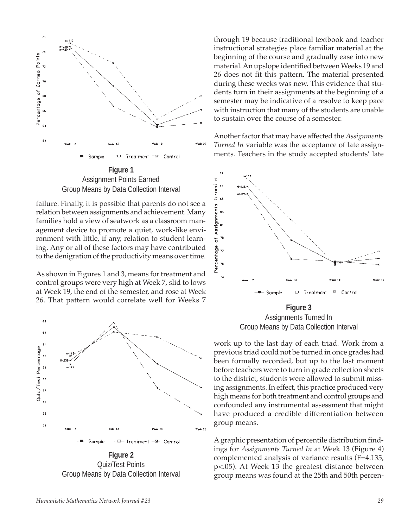

Assignment Points Earned Group Means by Data Collection Interval

failure. Finally, it is possible that parents do not see a relation between assignments and achievement. Many families hold a view of seatwork as a classroom management device to promote a quiet, work-like environment with little, if any, relation to student learning. Any or all of these factors may have contributed to the denigration of the productivity means over time.

As shown in Figures 1 and 3, means for treatment and control groups were very high at Week 7, slid to lows at Week 19, the end of the semester, and rose at Week 26. That pattern would correlate well for Weeks 7



Quiz/Test Points Group Means by Data Collection Interval

through 19 because traditional textbook and teacher instructional strategies place familiar material at the beginning of the course and gradually ease into new material. An upslope identified between Weeks 19 and 26 does not fit this pattern. The material presented during these weeks was new. This evidence that students turn in their assignments at the beginning of a semester may be indicative of a resolve to keep pace with instruction that many of the students are unable to sustain over the course of a semester.

Another factor that may have affected the *Assignments Turned In* variable was the acceptance of late assignments. Teachers in the study accepted students' late



Assignments Turned In Group Means by Data Collection Interval

work up to the last day of each triad. Work from a previous triad could not be turned in once grades had been formally recorded, but up to the last moment before teachers were to turn in grade collection sheets to the district, students were allowed to submit missing assignments. In effect, this practice produced very high means for both treatment and control groups and confounded any instrumental assessment that might have produced a credible differentiation between group means.

A graphic presentation of percentile distribution findings for *Assignments Turned In* at Week 13 (Figure 4) complemented analysis of variance results (F=4.135, p<.05). At Week 13 the greatest distance between group means was found at the 25th and 50th percen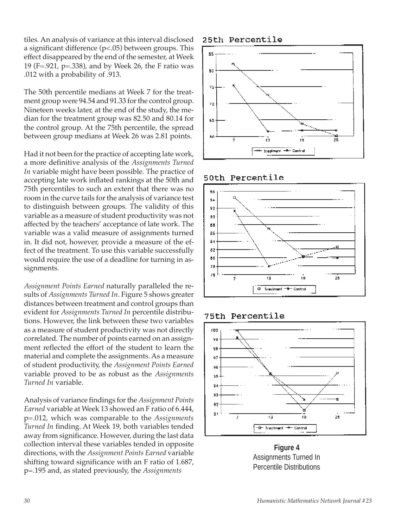tiles. An analysis of variance at this interval disclosed a significant difference (p<.05) between groups. This effect disappeared by the end of the semester, at Week 19 (F=.921, p=.338), and by Week 26, the F ratio was .012 with a probability of .913.

The 50th percentile medians at Week 7 for the treatment group were 94.54 and 91.33 for the control group. Nineteen weeks later, at the end of the study, the median for the treatment group was 82.50 and 80.14 for the control group. At the 75th percentile, the spread between group medians at Week 26 was 2.81 points.

Had it not been for the practice of accepting late work, a more definitive analysis of the *Assignments Turned In* variable might have been possible. The practice of accepting late work inflated rankings at the 50th and 75th percentiles to such an extent that there was no room in the curve tails for the analysis of variance test to distinguish between groups. The validity of this variable as a measure of student productivity was not affected by the teachers' acceptance of late work. The variable was a valid measure of assignments turned in. It did not, however, provide a measure of the effect of the treatment. To use this variable successfully would require the use of a deadline for turning in assignments.

*Assignment Points Earned* naturally paralleled the results of *Assignments Turned In*. Figure 5 shows greater distances between treatment and control groups than evident for *Assignments Turned In* percentile distributions. However, the link between these two variables as a measure of student productivity was not directly correlated. The number of points earned on an assignment reflected the effort of the student to learn the material and complete the assignments. As a measure of student productivity, the *Assignment Points Earned* variable proved to be as robust as the *Assignments Turned In* variable.

Analysis of variance findings for the *Assignment Points Earned* variable at Week 13 showed an F ratio of 6.444, p=.012, which was comparable to the *Assignments Turned In* finding. At Week 19, both variables tended away from significance. However, during the last data collection interval these variables tended in opposite directions, with the *Assignment Points Earned* variable shifting toward significance with an F ratio of 1.687, p=.195 and, as stated previously, the *Assignments*

#### 25th Percentile



#### 50th Percentile



75th Percentile



**Figure 4** Assignments Turned In Percentile Distributions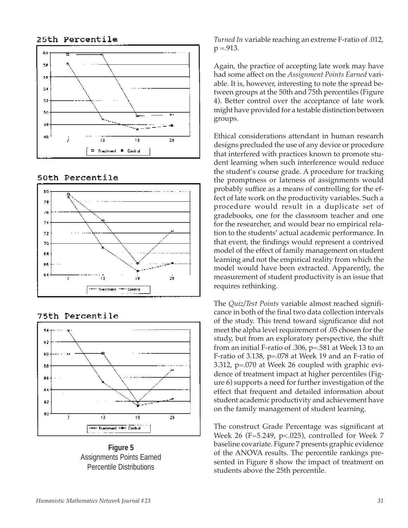#### 25th Percentile



#### 50th Percentile



#### 75th Percentile



**Figure 5** Assignments Points Earned Percentile Distributions

*Turned In* variable reaching an extreme F-ratio of .012,  $p = .913$ .

Again, the practice of accepting late work may have had some affect on the *Assignment Points Earned* variable. It is, however, interesting to note the spread between groups at the 50th and 75th percentiles (Figure 4). Better control over the acceptance of late work might have provided for a testable distinction between groups.

Ethical considerations attendant in human research designs precluded the use of any device or procedure that interfered with practices known to promote student learning when such interference would reduce the student's course grade. A procedure for tracking the promptness or lateness of assignments would probably suffice as a means of controlling for the effect of late work on the productivity variables. Such a procedure would result in a duplicate set of gradebooks, one for the classroom teacher and one for the researcher, and would bear no empirical relation to the students' actual academic performance. In that event, the findings would represent a contrived model of the effect of family management on student learning and not the empirical reality from which the model would have been extracted. Apparently, the measurement of student productivity is an issue that requires rethinking.

The *Quiz/Test Points* variable almost reached significance in both of the final two data collection intervals of the study. This trend toward significance did not meet the alpha level requirement of .05 chosen for the study, but from an exploratory perspective, the shift from an initial F-ratio of .306, p=.581 at Week 13 to an F-ratio of 3.138, p=.078 at Week 19 and an F-ratio of 3.312, p=.070 at Week 26 coupled with graphic evidence of treatment impact at higher percentiles (Figure 6) supports a need for further investigation of the effect that frequent and detailed information about student academic productivity and achievement have on the family management of student learning.

The construct Grade Percentage was significant at Week 26 (F=5.249, p<.025), controlled for Week 7 baseline covariate. Figure 7 presents graphic evidence of the ANOVA results. The percentile rankings presented in Figure 8 show the impact of treatment on students above the 25th percentile.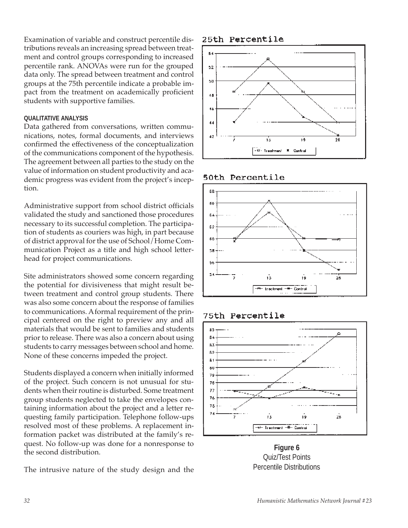Examination of variable and construct percentile distributions reveals an increasing spread between treatment and control groups corresponding to increased percentile rank. ANOVAs were run for the grouped data only. The spread between treatment and control groups at the 75th percentile indicate a probable impact from the treatment on academically proficient students with supportive families.

#### **QUALITATIVE ANALYSIS**

Data gathered from conversations, written communications, notes, formal documents, and interviews confirmed the effectiveness of the conceptualization of the communications component of the hypothesis. The agreement between all parties to the study on the value of information on student productivity and academic progress was evident from the project's inception.

Administrative support from school district officials validated the study and sanctioned those procedures necessary to its successful completion. The participation of students as couriers was high, in part because of district approval for the use of School/Home Communication Project as a title and high school letterhead for project communications.

Site administrators showed some concern regarding the potential for divisiveness that might result between treatment and control group students. There was also some concern about the response of families to communications. A formal requirement of the principal centered on the right to preview any and all materials that would be sent to families and students prior to release. There was also a concern about using students to carry messages between school and home. None of these concerns impeded the project.

Students displayed a concern when initially informed of the project. Such concern is not unusual for students when their routine is disturbed. Some treatment group students neglected to take the envelopes containing information about the project and a letter requesting family participation. Telephone follow-ups resolved most of these problems. A replacement information packet was distributed at the family's request. No follow-up was done for a nonresponse to the second distribution.

The intrusive nature of the study design and the

25th Percentile



#### 50th Percentile



#### **75th Percentile**



**Figure 6** Quiz/Test Points Percentile Distributions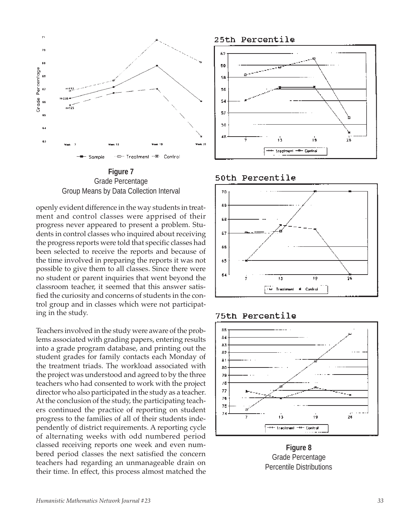

**Figure 7** Grade Percentage Group Means by Data Collection Interval

openly evident difference in the way students in treatment and control classes were apprised of their progress never appeared to present a problem. Students in control classes who inquired about receiving the progress reports were told that specific classes had been selected to receive the reports and because of the time involved in preparing the reports it was not possible to give them to all classes. Since there were no student or parent inquiries that went beyond the classroom teacher, it seemed that this answer satisfied the curiosity and concerns of students in the control group and in classes which were not participating in the study.

Teachers involved in the study were aware of the problems associated with grading papers, entering results into a grade program database, and printing out the student grades for family contacts each Monday of the treatment triads. The workload associated with the project was understood and agreed to by the three teachers who had consented to work with the project director who also participated in the study as a teacher. At the conclusion of the study, the participating teachers continued the practice of reporting on student progress to the families of all of their students independently of district requirements. A reporting cycle of alternating weeks with odd numbered period classed receiving reports one week and even numbered period classes the next satisfied the concern teachers had regarding an unmanageable drain on their time. In effect, this process almost matched the

25th Percentile



50th Percentile



#### 75th Percentile



**Figure 8** Grade Percentage Percentile Distributions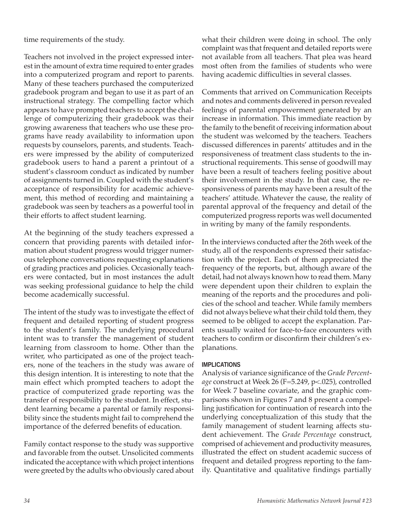time requirements of the study.

Teachers not involved in the project expressed interest in the amount of extra time required to enter grades into a computerized program and report to parents. Many of these teachers purchased the computerized gradebook program and began to use it as part of an instructional strategy. The compelling factor which appears to have prompted teachers to accept the challenge of computerizing their gradebook was their growing awareness that teachers who use these programs have ready availability to information upon requests by counselors, parents, and students. Teachers were impressed by the ability of computerized gradebook users to hand a parent a printout of a student's classroom conduct as indicated by number of assignments turned in. Coupled with the student's acceptance of responsibility for academic achievement, this method of recording and maintaining a gradebook was seen by teachers as a powerful tool in their efforts to affect student learning.

At the beginning of the study teachers expressed a concern that providing parents with detailed information about student progress would trigger numerous telephone conversations requesting explanations of grading practices and policies. Occasionally teachers were contacted, but in most instances the adult was seeking professional guidance to help the child become academically successful.

The intent of the study was to investigate the effect of frequent and detailed reporting of student progress to the student's family. The underlying procedural intent was to transfer the management of student learning from classroom to home. Other than the writer, who participated as one of the project teachers, none of the teachers in the study was aware of this design intention. It is interesting to note that the main effect which prompted teachers to adopt the practice of computerized grade reporting was the transfer of responsibility to the student. In effect, student learning became a parental or family responsibility since the students might fail to comprehend the importance of the deferred benefits of education.

Family contact response to the study was supportive and favorable from the outset. Unsolicited comments indicated the acceptance with which project intentions were greeted by the adults who obviously cared about

what their children were doing in school. The only complaint was that frequent and detailed reports were not available from all teachers. That plea was heard most often from the families of students who were having academic difficulties in several classes.

Comments that arrived on Communication Receipts and notes and comments delivered in person revealed feelings of parental empowerment generated by an increase in information. This immediate reaction by the family to the benefit of receiving information about the student was welcomed by the teachers. Teachers discussed differences in parents' attitudes and in the responsiveness of treatment class students to the instructional requirements. This sense of goodwill may have been a result of teachers feeling positive about their involvement in the study. In that case, the responsiveness of parents may have been a result of the teachers' attitude. Whatever the cause, the reality of parental approval of the frequency and detail of the computerized progress reports was well documented in writing by many of the family respondents.

In the interviews conducted after the 26th week of the study, all of the respondents expressed their satisfaction with the project. Each of them appreciated the frequency of the reports, but, although aware of the detail, had not always known how to read them. Many were dependent upon their children to explain the meaning of the reports and the procedures and policies of the school and teacher. While family members did not always believe what their child told them, they seemed to be obliged to accept the explanation. Parents usually waited for face-to-face encounters with teachers to confirm or disconfirm their children's explanations.

#### **IMPLICATIONS**

Analysis of variance significance of the *Grade Percentage* construct at Week 26 (F=5.249, p<.025), controlled for Week 7 baseline covariate, and the graphic comparisons shown in Figures 7 and 8 present a compelling justification for continuation of research into the underlying conceptualization of this study that the family management of student learning affects student achievement. The *Grade Percentage* construct, comprised of achievement and productivity measures, illustrated the effect on student academic success of frequent and detailed progress reporting to the family. Quantitative and qualitative findings partially